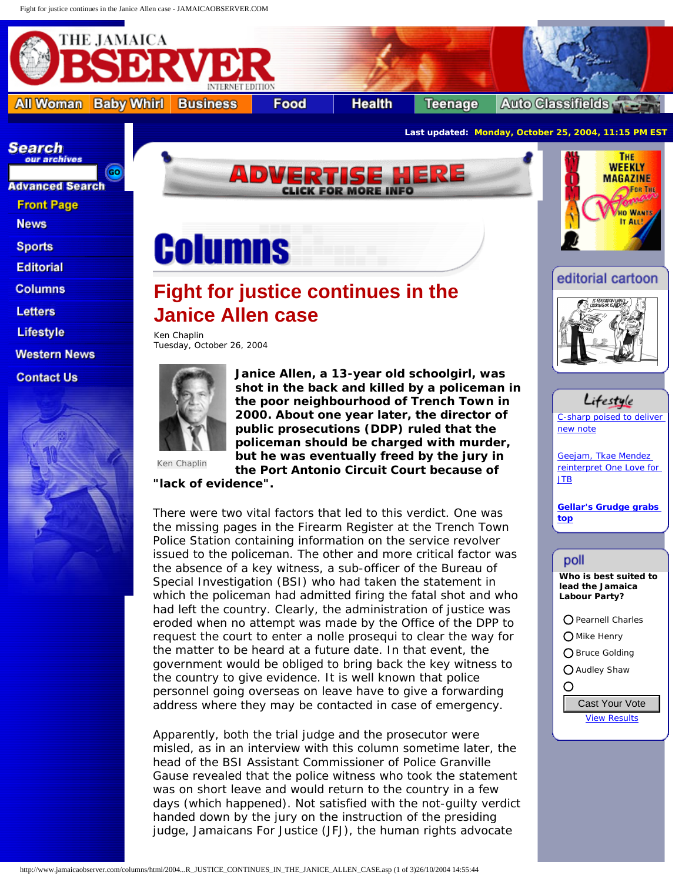<span id="page-0-0"></span>

**Western News** 

**Contact Us** 



**Janice Allen, a 13-year old schoolgirl, was shot in the back and killed by a policeman in the poor neighbourhood of Trench Town in 2000. About one year later, the director of public prosecutions (DDP) ruled that the policeman should be charged with murder, but he was eventually freed by the jury in the Port Antonio Circuit Court because of** 

[C-sharp poised to deliver](http://www.jamaicaobserver.com/lifestyle/html/20041025T200000-0500_68219_OBS_C_SHARP_POISED_TO_DELIVER_NEW_NOTE.asp)

Lifestyle

[Geejam, Tkae Mendez](http://www.jamaicaobserver.com/lifestyle/html/20041025T200000-0500_68221_OBS_GEEJAM__TKAE_MENDEZ_REINTERPRET_ONE_LOVE_FOR_JTB.asp) [reinterpret One Love for](http://www.jamaicaobserver.com/lifestyle/html/20041025T200000-0500_68221_OBS_GEEJAM__TKAE_MENDEZ_REINTERPRET_ONE_LOVE_FOR_JTB.asp) 

**[Gellar's Grudge grabs](http://www.jamaicaobserver.com/lifestyle/html/20041025T150000-0500_68157_OBS__B_GELLAR_S_GRUDGE_GRABS_TOP__B_.asp)** 

**Who is best suited to lead the Jamaica Labour Party?**

O Pearnell Charles Mike Henry O Bruce Golding ◯ Audley Shaw

[View Results](http://www.jamaicaobserver.com/tools/pollresults.asp?pollId=78)

[new note](http://www.jamaicaobserver.com/lifestyle/html/20041025T200000-0500_68219_OBS_C_SHARP_POISED_TO_DELIVER_NEW_NOTE.asp)

[JTB](http://www.jamaicaobserver.com/lifestyle/html/20041025T200000-0500_68221_OBS_GEEJAM__TKAE_MENDEZ_REINTERPRET_ONE_LOVE_FOR_JTB.asp)

**[top](http://www.jamaicaobserver.com/lifestyle/html/20041025T150000-0500_68157_OBS__B_GELLAR_S_GRUDGE_GRABS_TOP__B_.asp)**

poll

 $\overline{O}$ 

Ken Chaplin

**"lack of evidence".**

There were two vital factors that led to this verdict. One was the missing pages in the Firearm Register at the Trench Town Police Station containing information on the service revolver issued to the policeman. The other and more critical factor was the absence of a key witness, a sub-officer of the Bureau of Special Investigation (BSI) who had taken the statement in which the policeman had admitted firing the fatal shot and who had left the country. Clearly, the administration of justice was eroded when no attempt was made by the Office of the DPP to request the court to enter a nolle prosequi to clear the way for the matter to be heard at a future date. In that event, the government would be obliged to bring back the key witness to the country to give evidence. It is well known that police personnel going overseas on leave have to give a forwarding address where they may be contacted in case of emergency.

Apparently, both the trial judge and the prosecutor were misled, as in an interview with this column sometime later, the head of the BSI Assistant Commissioner of Police Granville Gause revealed that the police witness who took the statement was on short leave and would return to the country in a few days (which happened). Not satisfied with the not-guilty verdict handed down by the jury on the instruction of the presiding judge, Jamaicans For Justice (JFJ), the human rights advocate address where they may be contacted in case of emergency.<br>
Apparently, both the trial judge and the prosecutor were<br>
misled, as in an interview with this column sometime later, the<br>
head of the BSI Assistant Commissioner o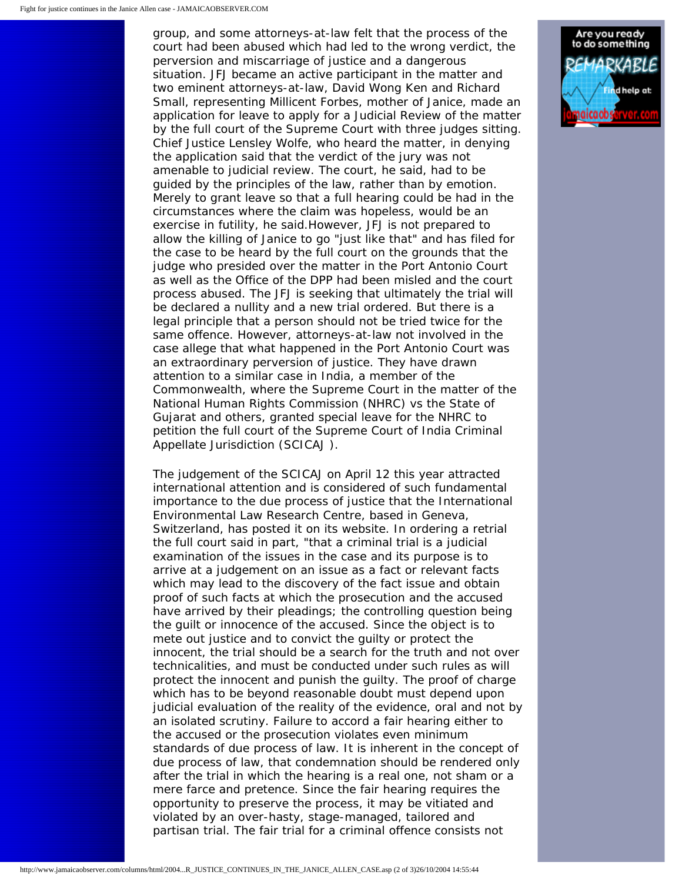group, and some attorneys-at-law felt that the process of the court had been abused which had led to the wrong verdict, the perversion and miscarriage of justice and a dangerous situation. JFJ became an active participant in the matter and two eminent attorneys-at-law, David Wong Ken and Richard Small, representing Millicent Forbes, mother of Janice, made an application for leave to apply for a Judicial Review of the matter by the full court of the Supreme Court with three judges sitting. Chief Justice Lensley Wolfe, who heard the matter, in denying the application said that the verdict of the jury was not amenable to judicial review. The court, he said, had to be guided by the principles of the law, rather than by emotion. Merely to grant leave so that a full hearing could be had in the circumstances where the claim was hopeless, would be an exercise in futility, he said.However, JFJ is not prepared to allow the killing of Janice to go "just like that" and has filed for the case to be heard by the full court on the grounds that the judge who presided over the matter in the Port Antonio Court as well as the Office of the DPP had been misled and the court process abused. The JFJ is seeking that ultimately the trial will be declared a nullity and a new trial ordered. But there is a legal principle that a person should not be tried twice for the same offence. However, attorneys-at-law not involved in the case allege that what happened in the Port Antonio Court was an extraordinary perversion of justice. They have drawn attention to a similar case in India, a member of the Commonwealth, where the Supreme Court in the matter of the National Human Rights Commission (NHRC) vs the State of Gujarat and others, granted special leave for the NHRC to petition the full court of the Supreme Court of India Criminal Appellate Jurisdiction (SCICAJ ).

The judgement of the SCICAJ on April 12 this year attracted international attention and is considered of such fundamental importance to the due process of justice that the International Environmental Law Research Centre, based in Geneva, Switzerland, has posted it on its website. In ordering a retrial the full court said in part, "that a criminal trial is a judicial examination of the issues in the case and its purpose is to arrive at a judgement on an issue as a fact or relevant facts which may lead to the discovery of the fact issue and obtain proof of such facts at which the prosecution and the accused have arrived by their pleadings; the controlling question being the guilt or innocence of the accused. Since the object is to mete out justice and to convict the guilty or protect the innocent, the trial should be a search for the truth and not over technicalities, and must be conducted under such rules as will protect the innocent and punish the guilty. The proof of charge which has to be beyond reasonable doubt must depend upon judicial evaluation of the reality of the evidence, oral and not by an isolated scrutiny. Failure to accord a fair hearing either to the accused or the prosecution violates even minimum standards of due process of law. It is inherent in the concept of due process of law, that condemnation should be rendered only after the trial in which the hearing is a real one, not sham or a mere farce and pretence. Since the fair hearing requires the opportunity to preserve the process, it may be vitiated and violated by an over-hasty, stage-managed, tailored and partisan trial. The fair trial for a criminal offence consists not